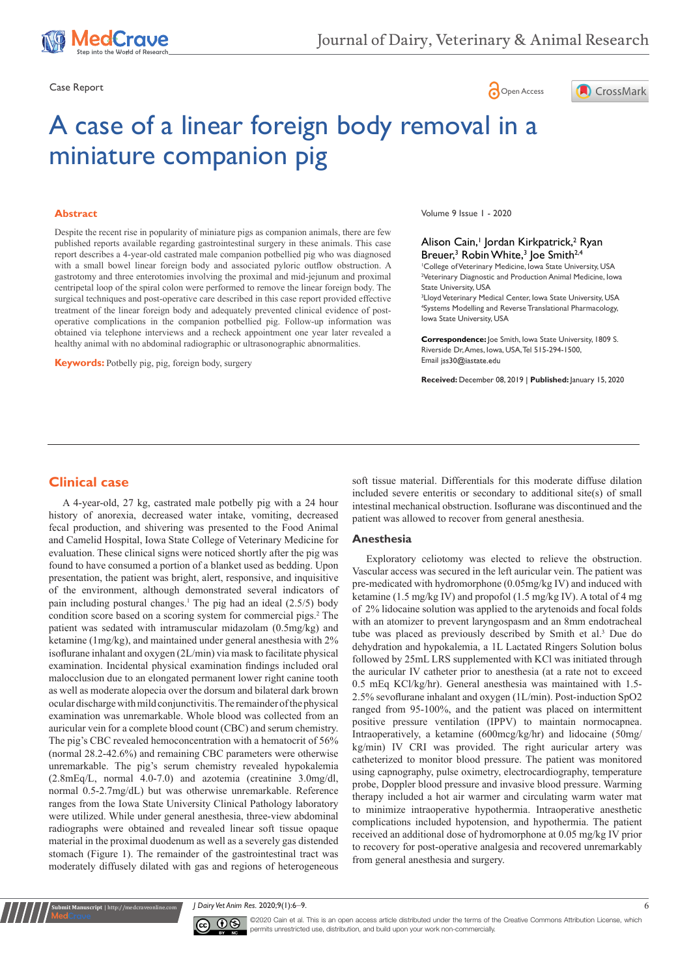





# A case of a linear foreign body removal in a miniature companion pig

#### **Abstract**

Despite the recent rise in popularity of miniature pigs as companion animals, there are few published reports available regarding gastrointestinal surgery in these animals. This case report describes a 4-year-old castrated male companion potbellied pig who was diagnosed with a small bowel linear foreign body and associated pyloric outflow obstruction. A gastrotomy and three enterotomies involving the proximal and mid-jejunum and proximal centripetal loop of the spiral colon were performed to remove the linear foreign body. The surgical techniques and post-operative care described in this case report provided effective treatment of the linear foreign body and adequately prevented clinical evidence of postoperative complications in the companion potbellied pig. Follow-up information was obtained via telephone interviews and a recheck appointment one year later revealed a healthy animal with no abdominal radiographic or ultrasonographic abnormalities.

**Keywords:** Potbelly pig, pig, foreign body, surgery

Volume 9 Issue 1 - 2020

#### Alison Cain,<sup>1</sup> Jordan Kirkpatrick,<sup>2</sup> Ryan Breuer,<sup>3</sup> Robin White,<sup>3</sup> Joe Smith<sup>2,4</sup>

1 College of Veterinary Medicine, Iowa State University, USA 2 Veterinary Diagnostic and Production Animal Medicine, Iowa State University, USA

3 Lloyd Veterinary Medical Center, Iowa State University, USA 4 Systems Modelling and Reverse Translational Pharmacology, Iowa State University, USA

**Correspondence:** Joe Smith, Iowa State University, 1809 S. Riverside Dr, Ames, Iowa, USA, Tel 515-294-1500, Email jss30@iastate.edu

**Received:** December 08, 2019 | **Published:** January 15, 2020

# **Clinical case**

A 4-year-old, 27 kg, castrated male potbelly pig with a 24 hour history of anorexia, decreased water intake, vomiting, decreased fecal production, and shivering was presented to the Food Animal and Camelid Hospital, Iowa State College of Veterinary Medicine for evaluation. These clinical signs were noticed shortly after the pig was found to have consumed a portion of a blanket used as bedding. Upon presentation, the patient was bright, alert, responsive, and inquisitive of the environment, although demonstrated several indicators of pain including postural changes.<sup>1</sup> The pig had an ideal (2.5/5) body condition score based on a scoring system for commercial pigs.<sup>2</sup> The patient was sedated with intramuscular midazolam (0.5mg/kg) and ketamine (1mg/kg), and maintained under general anesthesia with 2% isoflurane inhalant and oxygen (2L/min) via mask to facilitate physical examination. Incidental physical examination findings included oral malocclusion due to an elongated permanent lower right canine tooth as well as moderate alopecia over the dorsum and bilateral dark brown ocular discharge with mild conjunctivitis. The remainder of the physical examination was unremarkable. Whole blood was collected from an auricular vein for a complete blood count (CBC) and serum chemistry. The pig's CBC revealed hemoconcentration with a hematocrit of 56% (normal 28.2-42.6%) and remaining CBC parameters were otherwise unremarkable. The pig's serum chemistry revealed hypokalemia (2.8mEq/L, normal 4.0-7.0) and azotemia (creatinine 3.0mg/dl, normal 0.5-2.7mg/dL) but was otherwise unremarkable. Reference ranges from the Iowa State University Clinical Pathology laboratory were utilized. While under general anesthesia, three-view abdominal radiographs were obtained and revealed linear soft tissue opaque material in the proximal duodenum as well as a severely gas distended stomach (Figure 1). The remainder of the gastrointestinal tract was moderately diffusely dilated with gas and regions of heterogeneous

soft tissue material. Differentials for this moderate diffuse dilation included severe enteritis or secondary to additional site(s) of small intestinal mechanical obstruction. Isoflurane was discontinued and the patient was allowed to recover from general anesthesia.

#### **Anesthesia**

Exploratory celiotomy was elected to relieve the obstruction. Vascular access was secured in the left auricular vein. The patient was pre-medicated with hydromorphone (0.05mg/kg IV) and induced with ketamine (1.5 mg/kg IV) and propofol (1.5 mg/kg IV). A total of 4 mg of 2% lidocaine solution was applied to the arytenoids and focal folds with an atomizer to prevent laryngospasm and an 8mm endotracheal tube was placed as previously described by Smith et al.<sup>3</sup> Due do dehydration and hypokalemia, a 1L Lactated Ringers Solution bolus followed by 25mL LRS supplemented with KCl was initiated through the auricular IV catheter prior to anesthesia (at a rate not to exceed 0.5 mEq KCl/kg/hr). General anesthesia was maintained with 1.5- 2.5% sevoflurane inhalant and oxygen (1L/min). Post-induction SpO2 ranged from 95-100%, and the patient was placed on intermittent positive pressure ventilation (IPPV) to maintain normocapnea. Intraoperatively, a ketamine (600mcg/kg/hr) and lidocaine (50mg/ kg/min) IV CRI was provided. The right auricular artery was catheterized to monitor blood pressure. The patient was monitored using capnography, pulse oximetry, electrocardiography, temperature probe, Doppler blood pressure and invasive blood pressure. Warming therapy included a hot air warmer and circulating warm water mat to minimize intraoperative hypothermia. Intraoperative anesthetic complications included hypotension, and hypothermia. The patient received an additional dose of hydromorphone at 0.05 mg/kg IV prior to recovery for post-operative analgesia and recovered unremarkably from general anesthesia and surgery.

*J Dairy Vet Anim Res.* 2020;9(1):6‒9. 6



**it Manuscript** | http://medcraveonline.c

©2020 Cain et al. This is an open access article distributed under the terms of the [Creative Commons Attribution License](https://creativecommons.org/licenses/by-nc/4.0/), which permits unrestricted use, distribution, and build upon your work non-commercially.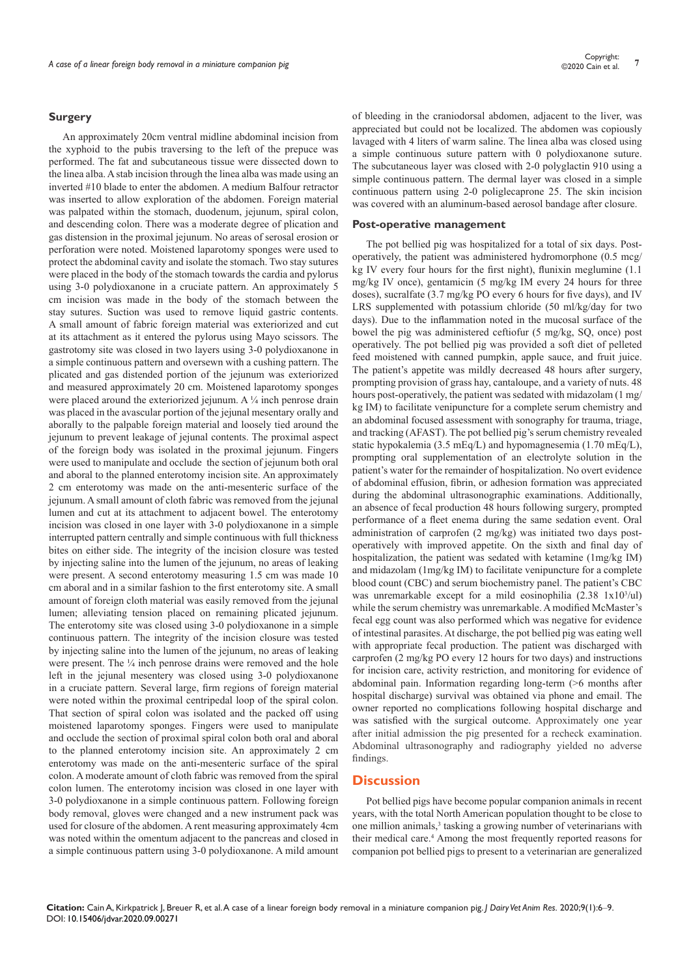#### **Surgery**

An approximately 20cm ventral midline abdominal incision from the xyphoid to the pubis traversing to the left of the prepuce was performed. The fat and subcutaneous tissue were dissected down to the linea alba. A stab incision through the linea alba was made using an inverted #10 blade to enter the abdomen. A medium Balfour retractor was inserted to allow exploration of the abdomen. Foreign material was palpated within the stomach, duodenum, jejunum, spiral colon, and descending colon. There was a moderate degree of plication and gas distension in the proximal jejunum. No areas of serosal erosion or perforation were noted. Moistened laparotomy sponges were used to protect the abdominal cavity and isolate the stomach. Two stay sutures were placed in the body of the stomach towards the cardia and pylorus using 3-0 polydioxanone in a cruciate pattern. An approximately 5 cm incision was made in the body of the stomach between the stay sutures. Suction was used to remove liquid gastric contents. A small amount of fabric foreign material was exteriorized and cut at its attachment as it entered the pylorus using Mayo scissors. The gastrotomy site was closed in two layers using 3-0 polydioxanone in a simple continuous pattern and oversewn with a cushing pattern. The plicated and gas distended portion of the jejunum was exteriorized and measured approximately 20 cm. Moistened laparotomy sponges were placed around the exteriorized jejunum. A  $\frac{1}{4}$  inch penrose drain was placed in the avascular portion of the jejunal mesentary orally and aborally to the palpable foreign material and loosely tied around the jejunum to prevent leakage of jejunal contents. The proximal aspect of the foreign body was isolated in the proximal jejunum. Fingers were used to manipulate and occlude the section of jejunum both oral and aboral to the planned enterotomy incision site. An approximately 2 cm enterotomy was made on the anti-mesenteric surface of the jejunum. A small amount of cloth fabric was removed from the jejunal lumen and cut at its attachment to adjacent bowel. The enterotomy incision was closed in one layer with 3-0 polydioxanone in a simple interrupted pattern centrally and simple continuous with full thickness bites on either side. The integrity of the incision closure was tested by injecting saline into the lumen of the jejunum, no areas of leaking were present. A second enterotomy measuring 1.5 cm was made 10 cm aboral and in a similar fashion to the first enterotomy site. A small amount of foreign cloth material was easily removed from the jejunal lumen; alleviating tension placed on remaining plicated jejunum. The enterotomy site was closed using 3-0 polydioxanone in a simple continuous pattern. The integrity of the incision closure was tested by injecting saline into the lumen of the jejunum, no areas of leaking were present. The  $\frac{1}{4}$  inch penrose drains were removed and the hole left in the jejunal mesentery was closed using 3-0 polydioxanone in a cruciate pattern. Several large, firm regions of foreign material were noted within the proximal centripedal loop of the spiral colon. That section of spiral colon was isolated and the packed off using moistened laparotomy sponges. Fingers were used to manipulate and occlude the section of proximal spiral colon both oral and aboral to the planned enterotomy incision site. An approximately 2 cm enterotomy was made on the anti-mesenteric surface of the spiral colon. A moderate amount of cloth fabric was removed from the spiral colon lumen. The enterotomy incision was closed in one layer with 3-0 polydioxanone in a simple continuous pattern. Following foreign body removal, gloves were changed and a new instrument pack was used for closure of the abdomen. A rent measuring approximately 4cm was noted within the omentum adjacent to the pancreas and closed in a simple continuous pattern using 3-0 polydioxanone. A mild amount of bleeding in the craniodorsal abdomen, adjacent to the liver, was appreciated but could not be localized. The abdomen was copiously lavaged with 4 liters of warm saline. The linea alba was closed using a simple continuous suture pattern with 0 polydioxanone suture. The subcutaneous layer was closed with 2-0 polyglactin 910 using a simple continuous pattern. The dermal layer was closed in a simple continuous pattern using 2-0 poliglecaprone 25. The skin incision was covered with an aluminum-based aerosol bandage after closure.

#### **Post-operative management**

The pot bellied pig was hospitalized for a total of six days. Postoperatively, the patient was administered hydromorphone (0.5 mcg/ kg IV every four hours for the first night), flunixin meglumine (1.1 mg/kg IV once), gentamicin (5 mg/kg IM every 24 hours for three doses), sucralfate (3.7 mg/kg PO every 6 hours for five days), and IV LRS supplemented with potassium chloride (50 ml/kg/day for two days). Due to the inflammation noted in the mucosal surface of the bowel the pig was administered ceftiofur (5 mg/kg, SQ, once) post operatively. The pot bellied pig was provided a soft diet of pelleted feed moistened with canned pumpkin, apple sauce, and fruit juice. The patient's appetite was mildly decreased 48 hours after surgery, prompting provision of grass hay, cantaloupe, and a variety of nuts. 48 hours post-operatively, the patient was sedated with midazolam (1 mg/ kg IM) to facilitate venipuncture for a complete serum chemistry and an abdominal focused assessment with sonography for trauma, triage, and tracking (AFAST). The pot bellied pig's serum chemistry revealed static hypokalemia (3.5 mEq/L) and hypomagnesemia (1.70 mEq/L), prompting oral supplementation of an electrolyte solution in the patient's water for the remainder of hospitalization. No overt evidence of abdominal effusion, fibrin, or adhesion formation was appreciated during the abdominal ultrasonographic examinations. Additionally, an absence of fecal production 48 hours following surgery, prompted performance of a fleet enema during the same sedation event. Oral administration of carprofen (2 mg/kg) was initiated two days postoperatively with improved appetite. On the sixth and final day of hospitalization, the patient was sedated with ketamine (1mg/kg IM) and midazolam (1mg/kg IM) to facilitate venipuncture for a complete blood count (CBC) and serum biochemistry panel. The patient's CBC was unremarkable except for a mild eosinophilia  $(2.38 \text{ 1x10}^3/\text{ul})$ while the serum chemistry was unremarkable. A modified McMaster's fecal egg count was also performed which was negative for evidence of intestinal parasites. At discharge, the pot bellied pig was eating well with appropriate fecal production. The patient was discharged with carprofen (2 mg/kg PO every 12 hours for two days) and instructions for incision care, activity restriction, and monitoring for evidence of abdominal pain. Information regarding long-term (>6 months after hospital discharge) survival was obtained via phone and email. The owner reported no complications following hospital discharge and was satisfied with the surgical outcome. Approximately one year after initial admission the pig presented for a recheck examination. Abdominal ultrasonography and radiography yielded no adverse findings.

## **Discussion**

Pot bellied pigs have become popular companion animals in recent years, with the total North American population thought to be close to one million animals,<sup>3</sup> tasking a growing number of veterinarians with their medical care.<sup>4</sup> Among the most frequently reported reasons for companion pot bellied pigs to present to a veterinarian are generalized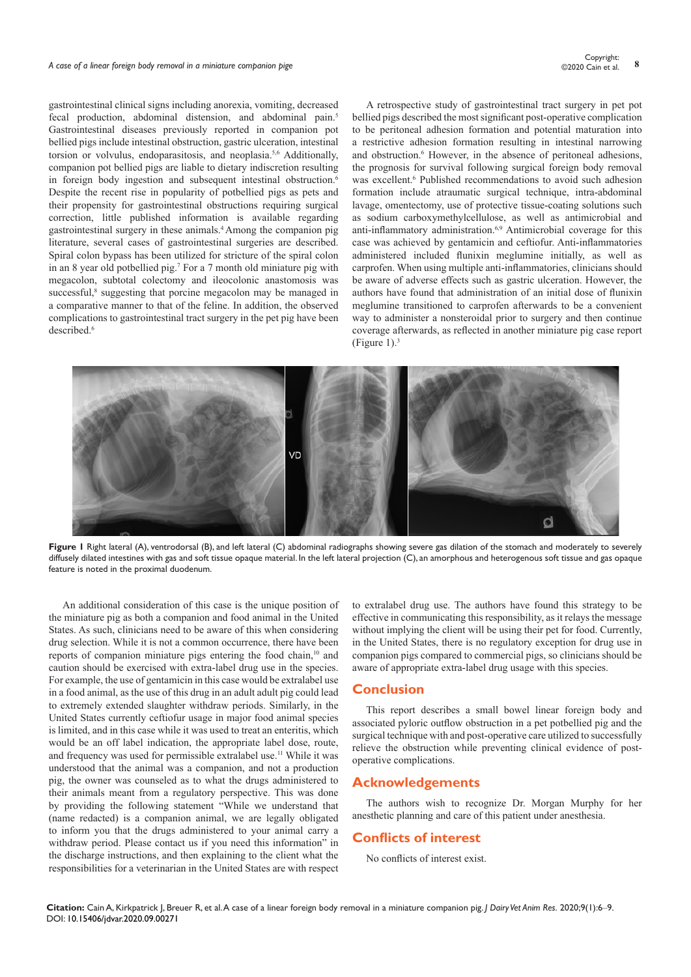# *A case of a linear foreign body removal in a miniature companion pige* **<sup>8</sup>** Copyright:

gastrointestinal clinical signs including anorexia, vomiting, decreased fecal production, abdominal distension, and abdominal pain.<sup>5</sup> Gastrointestinal diseases previously reported in companion pot bellied pigs include intestinal obstruction, gastric ulceration, intestinal torsion or volvulus, endoparasitosis, and neoplasia.<sup>5,6</sup> Additionally, companion pot bellied pigs are liable to dietary indiscretion resulting in foreign body ingestion and subsequent intestinal obstruction.<sup>6</sup> Despite the recent rise in popularity of potbellied pigs as pets and their propensity for gastrointestinal obstructions requiring surgical correction, little published information is available regarding gastrointestinal surgery in these animals.4 Among the companion pig literature, several cases of gastrointestinal surgeries are described. Spiral colon bypass has been utilized for stricture of the spiral colon in an 8 year old potbellied pig.7 For a 7 month old miniature pig with megacolon, subtotal colectomy and ileocolonic anastomosis was successful,<sup>8</sup> suggesting that porcine megacolon may be managed in a comparative manner to that of the feline. In addition, the observed complications to gastrointestinal tract surgery in the pet pig have been described.<sup>6</sup>

A retrospective study of gastrointestinal tract surgery in pet pot bellied pigs described the most significant post-operative complication to be peritoneal adhesion formation and potential maturation into a restrictive adhesion formation resulting in intestinal narrowing and obstruction.<sup>6</sup> However, in the absence of peritoneal adhesions, the prognosis for survival following surgical foreign body removal was excellent.<sup>6</sup> Published recommendations to avoid such adhesion formation include atraumatic surgical technique, intra-abdominal lavage, omentectomy, use of protective tissue-coating solutions such as sodium carboxymethylcellulose, as well as antimicrobial and anti-inflammatory administration.6,9 Antimicrobial coverage for this case was achieved by gentamicin and ceftiofur. Anti-inflammatories administered included flunixin meglumine initially, as well as carprofen. When using multiple anti-inflammatories, clinicians should be aware of adverse effects such as gastric ulceration. However, the authors have found that administration of an initial dose of flunixin meglumine transitioned to carprofen afterwards to be a convenient way to administer a nonsteroidal prior to surgery and then continue coverage afterwards, as reflected in another miniature pig case report (Figure 1). $3$ 



**Figure 1** Right lateral (A), ventrodorsal (B), and left lateral (C) abdominal radiographs showing severe gas dilation of the stomach and moderately to severely diffusely dilated intestines with gas and soft tissue opaque material. In the left lateral projection (C), an amorphous and heterogenous soft tissue and gas opaque feature is noted in the proximal duodenum.

An additional consideration of this case is the unique position of the miniature pig as both a companion and food animal in the United States. As such, clinicians need to be aware of this when considering drug selection. While it is not a common occurrence, there have been reports of companion miniature pigs entering the food chain,<sup>10</sup> and caution should be exercised with extra-label drug use in the species. For example, the use of gentamicin in this case would be extralabel use in a food animal, as the use of this drug in an adult adult pig could lead to extremely extended slaughter withdraw periods. Similarly, in the United States currently ceftiofur usage in major food animal species is limited, and in this case while it was used to treat an enteritis, which would be an off label indication, the appropriate label dose, route, and frequency was used for permissible extralabel use.<sup>11</sup> While it was understood that the animal was a companion, and not a production pig, the owner was counseled as to what the drugs administered to their animals meant from a regulatory perspective. This was done by providing the following statement "While we understand that (name redacted) is a companion animal, we are legally obligated to inform you that the drugs administered to your animal carry a withdraw period. Please contact us if you need this information" in the discharge instructions, and then explaining to the client what the responsibilities for a veterinarian in the United States are with respect

to extralabel drug use. The authors have found this strategy to be effective in communicating this responsibility, as it relays the message without implying the client will be using their pet for food. Currently, in the United States, there is no regulatory exception for drug use in companion pigs compared to commercial pigs, so clinicians should be aware of appropriate extra-label drug usage with this species.

# **Conclusion**

This report describes a small bowel linear foreign body and associated pyloric outflow obstruction in a pet potbellied pig and the surgical technique with and post-operative care utilized to successfully relieve the obstruction while preventing clinical evidence of postoperative complications.

# **Acknowledgements**

The authors wish to recognize Dr. Morgan Murphy for her anesthetic planning and care of this patient under anesthesia.

### **Conflicts of interest**

No conflicts of interest exist.